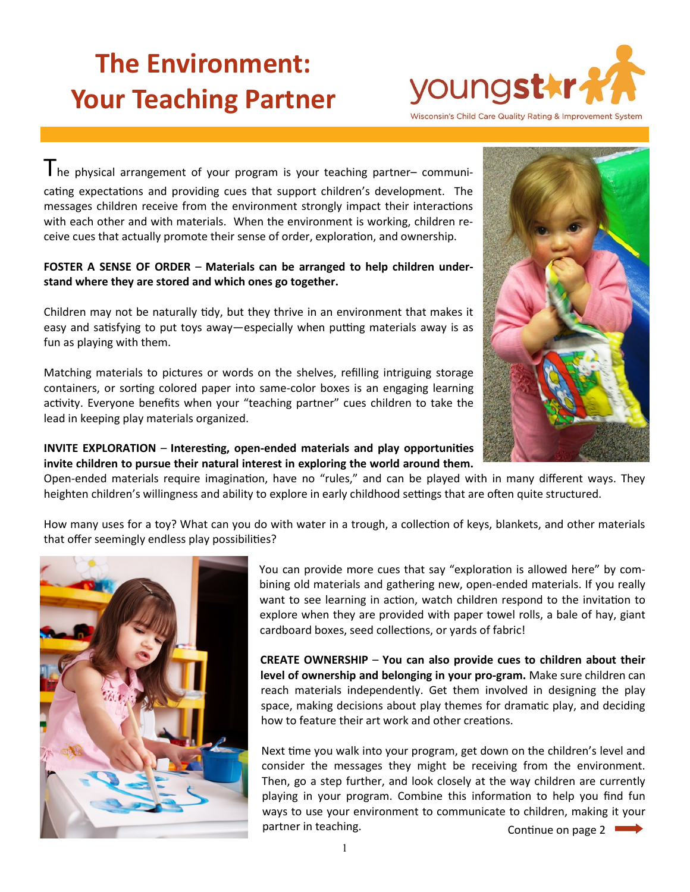# **The Environment: Your Teaching Partner**



Wisconsin's Child Care Quality Rating & Improvement System

The physical arrangement of your program is your teaching partner– communicating expectations and providing cues that support children's development. The messages children receive from the environment strongly impact their interactions with each other and with materials. When the environment is working, children receive cues that actually promote their sense of order, exploration, and ownership.

## **FOSTER A SENSE OF ORDER** – **Materials can be arranged to help children understand where they are stored and which ones go together.**

Children may not be naturally tidy, but they thrive in an environment that makes it easy and satisfying to put toys away—especially when putting materials away is as fun as playing with them.

Matching materials to pictures or words on the shelves, refilling intriguing storage containers, or sorting colored paper into same-color boxes is an engaging learning activity. Everyone benefits when your "teaching partner" cues children to take the lead in keeping play materials organized.

## **INVITE EXPLORATION** – **Interesting, open-ended materials and play opportunities invite children to pursue their natural interest in exploring the world around them.**

Open-ended materials require imagination, have no "rules," and can be played with in many different ways. They heighten children's willingness and ability to explore in early childhood settings that are often quite structured.

How many uses for a toy? What can you do with water in a trough, a collection of keys, blankets, and other materials that offer seemingly endless play possibilities?



You can provide more cues that say "exploration is allowed here" by combining old materials and gathering new, open-ended materials. If you really want to see learning in action, watch children respond to the invitation to explore when they are provided with paper towel rolls, a bale of hay, giant cardboard boxes, seed collections, or yards of fabric!

**CREATE OWNERSHIP** – **You can also provide cues to children about their level of ownership and belonging in your pro-gram.** Make sure children can reach materials independently. Get them involved in designing the play space, making decisions about play themes for dramatic play, and deciding how to feature their art work and other creations.

Next time you walk into your program, get down on the children's level and consider the messages they might be receiving from the environment. Then, go a step further, and look closely at the way children are currently playing in your program. Combine this information to help you find fun ways to use your environment to communicate to children, making it your partner in teaching. Continue on page 2